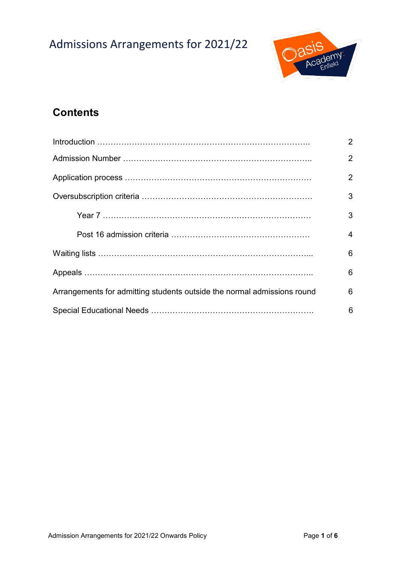# Admissions Arrangements for 2021/22



# **Contents**

|                                                                         | $\overline{2}$ |
|-------------------------------------------------------------------------|----------------|
|                                                                         | $\overline{2}$ |
|                                                                         | $\overline{2}$ |
|                                                                         | 3              |
|                                                                         | 3              |
|                                                                         | $\overline{4}$ |
|                                                                         | 6              |
|                                                                         | 6              |
| Arrangements for admitting students outside the normal admissions round | 6              |
|                                                                         | 6              |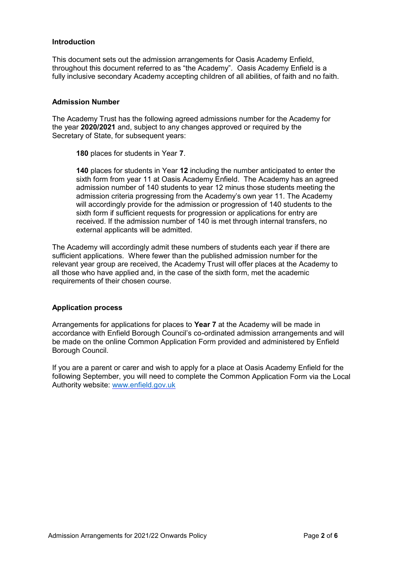#### **Introduction**

This document sets out the admission arrangements for Oasis Academy Enfield, throughout this document referred to as "the Academy". Oasis Academy Enfield is a fully inclusive secondary Academy accepting children of all abilities, of faith and no faith.

#### **Admission Number**

The Academy Trust has the following agreed admissions number for the Academy for the year **2020/2021** and, subject to any changes approved or required by the Secretary of State, for subsequent years:

**180** places for students in Year **7**.

**140** places for students in Year **12** including the number anticipated to enter the sixth form from year 11 at Oasis Academy Enfield. The Academy has an agreed admission number of 140 students to year 12 minus those students meeting the admission criteria progressing from the Academy's own year 11. The Academy will accordingly provide for the admission or progression of 140 students to the sixth form if sufficient requests for progression or applications for entry are received. If the admission number of 140 is met through internal transfers, no external applicants will be admitted.

The Academy will accordingly admit these numbers of students each year if there are sufficient applications. Where fewer than the published admission number for the relevant year group are received, the Academy Trust will offer places at the Academy to all those who have applied and, in the case of the sixth form, met the academic requirements of their chosen course.

#### **Application process**

Arrangements for applications for places to **Year 7** at the Academy will be made in accordance with Enfield Borough Council's co-ordinated admission arrangements and will be made on the online Common Application Form provided and administered by Enfield Borough Council.

If you are a parent or carer and wish to apply for a place at Oasis Academy Enfield for the following September, you will need to complete the Common Application Form via the Local Authority website: [www.enfield.gov.uk](http://www.enfield.gov.uk/)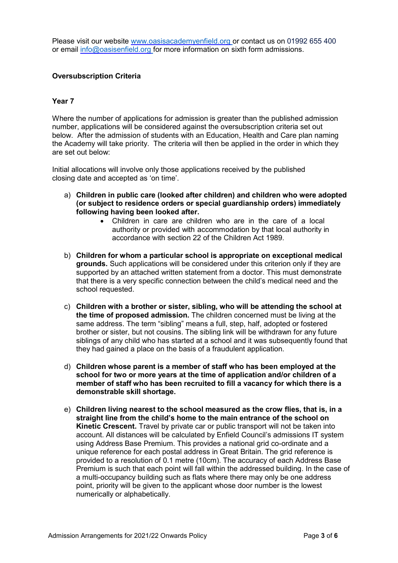Please visit our website www.oasisacademyenfield.org or contact us on 01992 655 400 or email [info@oasisenfield.org](mailto:info@oasisenfield.org) for more information on sixth form admissions.

#### **Oversubscription Criteria**

#### **Year 7**

Where the number of applications for admission is greater than the published admission number, applications will be considered against the oversubscription criteria set out below. After the admission of students with an Education, Health and Care plan naming the Academy will take priority. The criteria will then be applied in the order in which they are set out below:

Initial allocations will involve only those applications received by the published closing date and accepted as 'on time'.

- a) **Children in public care (looked after children) and children who were adopted (or subject to residence orders or special guardianship orders) immediately following having been looked after.**
	- Children in care are children who are in the care of a local authority or provided with accommodation by that local authority in accordance with section 22 of the Children Act 1989.
- b) **Children for whom a particular school is appropriate on exceptional medical grounds.** Such applications will be considered under this criterion only if they are supported by an attached written statement from a doctor. This must demonstrate that there is a very specific connection between the child's medical need and the school requested.
- c) **Children with a brother or sister, sibling, who will be attending the school at the time of proposed admission.** The children concerned must be living at the same address. The term "sibling" means a full, step, half, adopted or fostered brother or sister, but not cousins. The sibling link will be withdrawn for any future siblings of any child who has started at a school and it was subsequently found that they had gained a place on the basis of a fraudulent application.
- d) **Children whose parent is a member of staff who has been employed at the school for two or more years at the time of application and/or children of a member of staff who has been recruited to fill a vacancy for which there is a demonstrable skill shortage.**
- e) **Children living nearest to the school measured as the crow flies, that is, in a straight line from the child's home to the main entrance of the school on Kinetic Crescent.** Travel by private car or public transport will not be taken into account. All distances will be calculated by Enfield Council's admissions IT system using Address Base Premium. This provides a national grid co-ordinate and a unique reference for each postal address in Great Britain. The grid reference is provided to a resolution of 0.1 metre (10cm). The accuracy of each Address Base Premium is such that each point will fall within the addressed building. In the case of a multi-occupancy building such as flats where there may only be one address point, priority will be given to the applicant whose door number is the lowest numerically or alphabetically.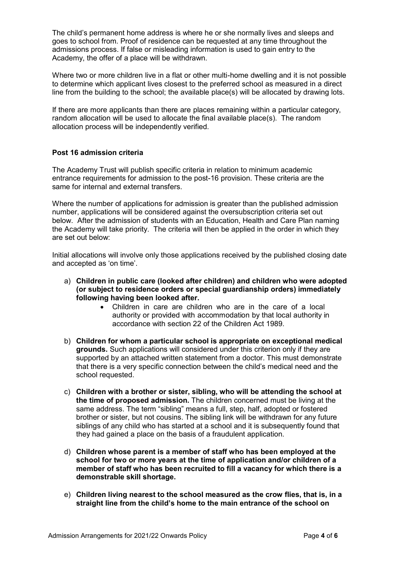The child's permanent home address is where he or she normally lives and sleeps and goes to school from. Proof of residence can be requested at any time throughout the admissions process. If false or misleading information is used to gain entry to the Academy, the offer of a place will be withdrawn.

Where two or more children live in a flat or other multi-home dwelling and it is not possible to determine which applicant lives closest to the preferred school as measured in a direct line from the building to the school; the available place(s) will be allocated by drawing lots.

If there are more applicants than there are places remaining within a particular category, random allocation will be used to allocate the final available place(s). The random allocation process will be independently verified.

## **Post 16 admission criteria**

The Academy Trust will publish specific criteria in relation to minimum academic entrance requirements for admission to the post-16 provision. These criteria are the same for internal and external transfers.

Where the number of applications for admission is greater than the published admission number, applications will be considered against the oversubscription criteria set out below. After the admission of students with an Education, Health and Care Plan naming the Academy will take priority. The criteria will then be applied in the order in which they are set out below:

Initial allocations will involve only those applications received by the published closing date and accepted as 'on time'.

- a) **Children in public care (looked after children) and children who were adopted (or subject to residence orders or special guardianship orders) immediately following having been looked after.**
	- Children in care are children who are in the care of a local authority or provided with accommodation by that local authority in accordance with section 22 of the Children Act 1989.
- b) **Children for whom a particular school is appropriate on exceptional medical grounds.** Such applications will considered under this criterion only if they are supported by an attached written statement from a doctor. This must demonstrate that there is a very specific connection between the child's medical need and the school requested.
- c) **Children with a brother or sister, sibling, who will be attending the school at the time of proposed admission.** The children concerned must be living at the same address. The term "sibling" means a full, step, half, adopted or fostered brother or sister, but not cousins. The sibling link will be withdrawn for any future siblings of any child who has started at a school and it is subsequently found that they had gained a place on the basis of a fraudulent application.
- d) **Children whose parent is a member of staff who has been employed at the school for two or more years at the time of application and/or children of a member of staff who has been recruited to fill a vacancy for which there is a demonstrable skill shortage.**
- e) **Children living nearest to the school measured as the crow flies, that is, in a straight line from the child's home to the main entrance of the school on**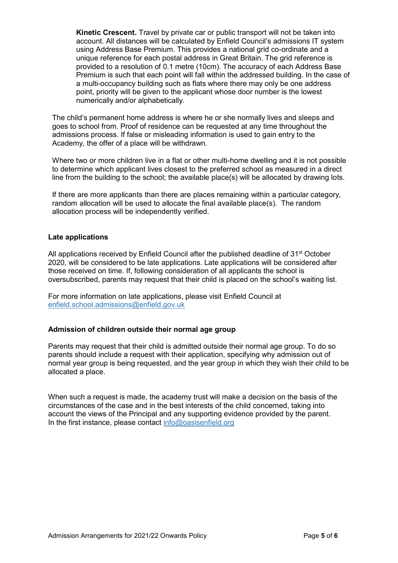**Kinetic Crescent.** Travel by private car or public transport will not be taken into account. All distances will be calculated by Enfield Council's admissions IT system using Address Base Premium. This provides a national grid co-ordinate and a unique reference for each postal address in Great Britain. The grid reference is provided to a resolution of 0.1 metre (10cm). The accuracy of each Address Base Premium is such that each point will fall within the addressed building. In the case of a multi-occupancy building such as flats where there may only be one address point, priority will be given to the applicant whose door number is the lowest numerically and/or alphabetically.

The child's permanent home address is where he or she normally lives and sleeps and goes to school from. Proof of residence can be requested at any time throughout the admissions process. If false or misleading information is used to gain entry to the Academy, the offer of a place will be withdrawn.

Where two or more children live in a flat or other multi-home dwelling and it is not possible to determine which applicant lives closest to the preferred school as measured in a direct line from the building to the school; the available place(s) will be allocated by drawing lots.

If there are more applicants than there are places remaining within a particular category, random allocation will be used to allocate the final available place(s). The random allocation process will be independently verified.

## **Late applications**

All applications received by Enfield Council after the published deadline of 31<sup>st</sup> October 2020, will be considered to be late applications. Late applications will be considered after those received on time. If, following consideration of all applicants the school is oversubscribed, parents may request that their child is placed on the school's waiting list.

For more information on late applications, please visit Enfield Council at enfield.school.admissions@enfield.gov.uk

#### **Admission of children outside their normal age group**

Parents may request that their child is admitted outside their normal age group. To do so parents should include a request with their application, specifying why admission out of normal year group is being requested, and the year group in which they wish their child to be allocated a place.

When such a request is made, the academy trust will make a decision on the basis of the circumstances of the case and in the best interests of the child concerned, taking into account the views of the Principal and any supporting evidence provided by the parent. In the first instance, please contact [info@oasisenfield.org](mailto:info@oasisenfield.org)